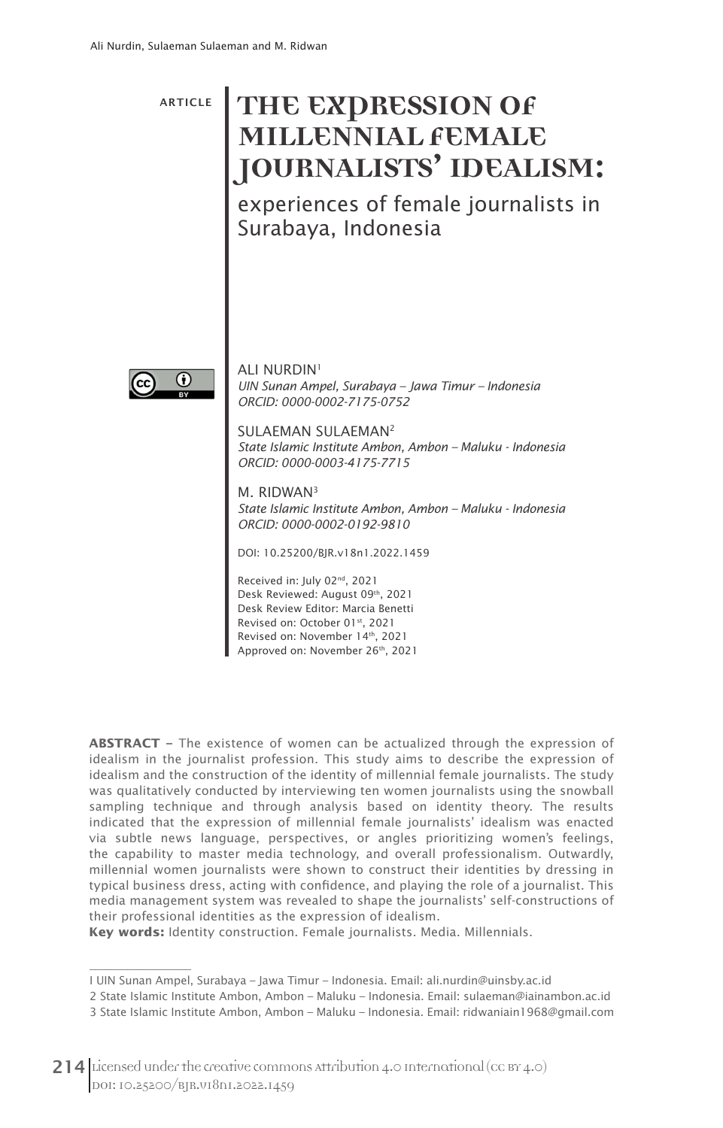ARTICLE **THE EXPRESSION OF MILLENNIAL FEMALE JOURNALISTS' IDEALISM:**

experiences of female journalists in Surabaya, Indonesia



 $\overline{\phantom{a}}$ 

**ALI NURDIN<sup>1</sup>** *UIN Sunan Ampel, Surabaya – Jawa Timur – Indonesia ORCID: 0000-0002-7175-0752*

SULAEMAN SULAEMAN2 *State Islamic Institute Ambon, Ambon – Maluku - Indonesia ORCID: 0000-0003-4175-7715*

M. RIDWAN3 *State Islamic Institute Ambon, Ambon – Maluku - Indonesia ORCID: 0000-0002-0192-9810*

DOI: 10.25200/BJR.v18n1.2022.1459

Received in: July 02nd, 2021 Desk Reviewed: August 09th, 2021 Desk Review Editor: Marcia Benetti Revised on: October 01st, 2021 Revised on: November 14th, 2021 Approved on: November 26<sup>th</sup>, 2021

**ABSTRACT –** The existence of women can be actualized through the expression of idealism in the journalist profession. This study aims to describe the expression of idealism and the construction of the identity of millennial female journalists. The study was qualitatively conducted by interviewing ten women journalists using the snowball sampling technique and through analysis based on identity theory. The results indicated that the expression of millennial female journalists' idealism was enacted via subtle news language, perspectives, or angles prioritizing women's feelings, the capability to master media technology, and overall professionalism. Outwardly, millennial women journalists were shown to construct their identities by dressing in typical business dress, acting with confidence, and playing the role of a journalist. This media management system was revealed to shape the journalists' self-constructions of their professional identities as the expression of idealism.

**Key words:** Identity construction. Female journalists. Media. Millennials.

I UIN Sunan Ampel, Surabaya – Jawa Timur – Indonesia. Email: ali.nurdin@uinsby.ac.id

<sup>2</sup> State Islamic Institute Ambon, Ambon – Maluku – Indonesia. Email: sulaeman@iainambon.ac.id

<sup>3</sup> State Islamic Institute Ambon, Ambon – Maluku – Indonesia. Email: ridwaniain1968@gmail.com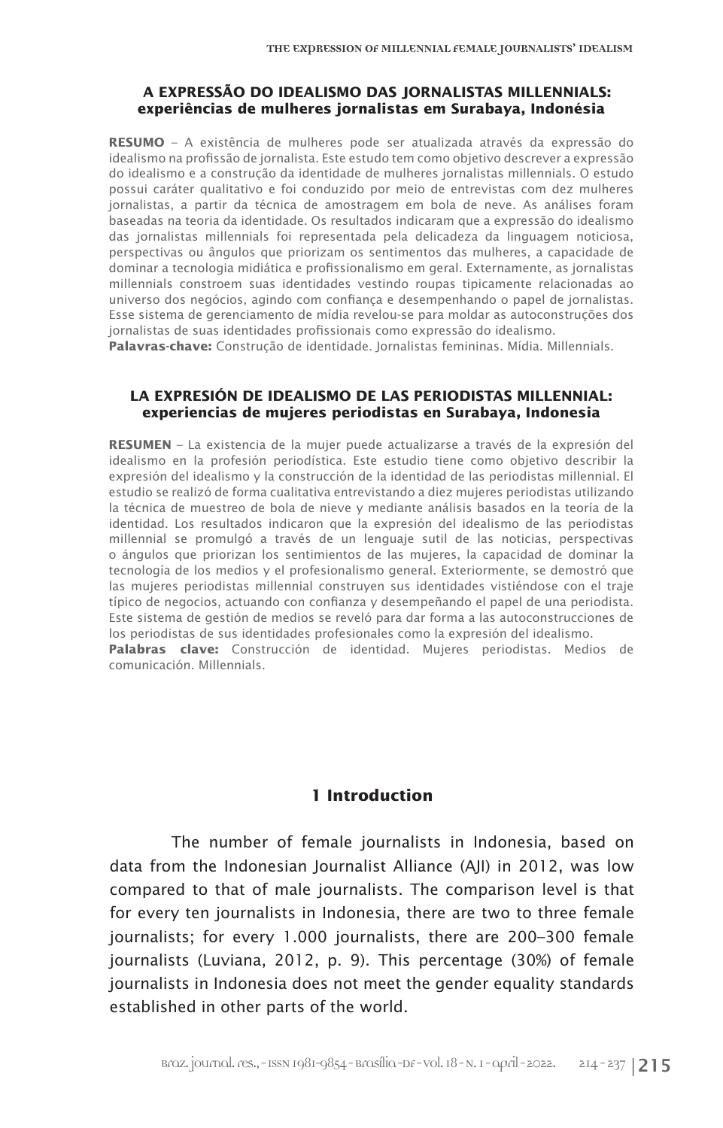#### **A EXPRESSÃO DO IDEALISMO DAS JORNALISTAS MILLENNIALS: experiências de mulheres jornalistas em Surabaya, Indonésia**

**RESUMO** – A existência de mulheres pode ser atualizada através da expressão do idealismo na profissão de jornalista. Este estudo tem como objetivo descrever a expressão do idealismo e a construção da identidade de mulheres jornalistas millennials. O estudo possui caráter qualitativo e foi conduzido por meio de entrevistas com dez mulheres jornalistas, a partir da técnica de amostragem em bola de neve. As análises foram baseadas na teoria da identidade. Os resultados indicaram que a expressão do idealismo das jornalistas millennials foi representada pela delicadeza da linguagem noticiosa, perspectivas ou ângulos que priorizam os sentimentos das mulheres, a capacidade de dominar a tecnologia midiática e profissionalismo em geral. Externamente, as jornalistas millennials constroem suas identidades vestindo roupas tipicamente relacionadas ao universo dos negócios, agindo com confiança e desempenhando o papel de jornalistas. Esse sistema de gerenciamento de mídia revelou-se para moldar as autoconstruções dos jornalistas de suas identidades profissionais como expressão do idealismo.

**Palavras-chave:** Construção de identidade. Jornalistas femininas. Mídia. Millennials.

#### **LA EXPRESIÓN DE IDEALISMO DE LAS PERIODISTAS MILLENNIAL: experiencias de mujeres periodistas en Surabaya, Indonesia**

**RESUMEN** – La existencia de la mujer puede actualizarse a través de la expresión del idealismo en la profesión periodística. Este estudio tiene como objetivo describir la expresión del idealismo y la construcción de la identidad de las periodistas millennial. El estudio se realizó de forma cualitativa entrevistando a diez mujeres periodistas utilizando la técnica de muestreo de bola de nieve y mediante análisis basados en la teoría de la identidad. Los resultados indicaron que la expresión del idealismo de las periodistas millennial se promulgó a través de un lenguaje sutil de las noticias, perspectivas o ángulos que priorizan los sentimientos de las mujeres, la capacidad de dominar la tecnología de los medios y el profesionalismo general. Exteriormente, se demostró que las mujeres periodistas millennial construyen sus identidades vistiéndose con el traje típico de negocios, actuando con confianza y desempeñando el papel de una periodista. Este sistema de gestión de medios se reveló para dar forma a las autoconstrucciones de los periodistas de sus identidades profesionales como la expresión del idealismo.

**Palabras clave:** Construcción de identidad. Mujeres periodistas. Medios de comunicación. Millennials.

## **1 Introduction**

The number of female journalists in Indonesia, based on data from the Indonesian Journalist Alliance (AJI) in 2012, was low compared to that of male journalists. The comparison level is that for every ten journalists in Indonesia, there are two to three female journalists; for every 1.000 journalists, there are 200–300 female journalists (Luviana, 2012, p. 9). This percentage (30%) of female journalists in Indonesia does not meet the gender equality standards established in other parts of the world.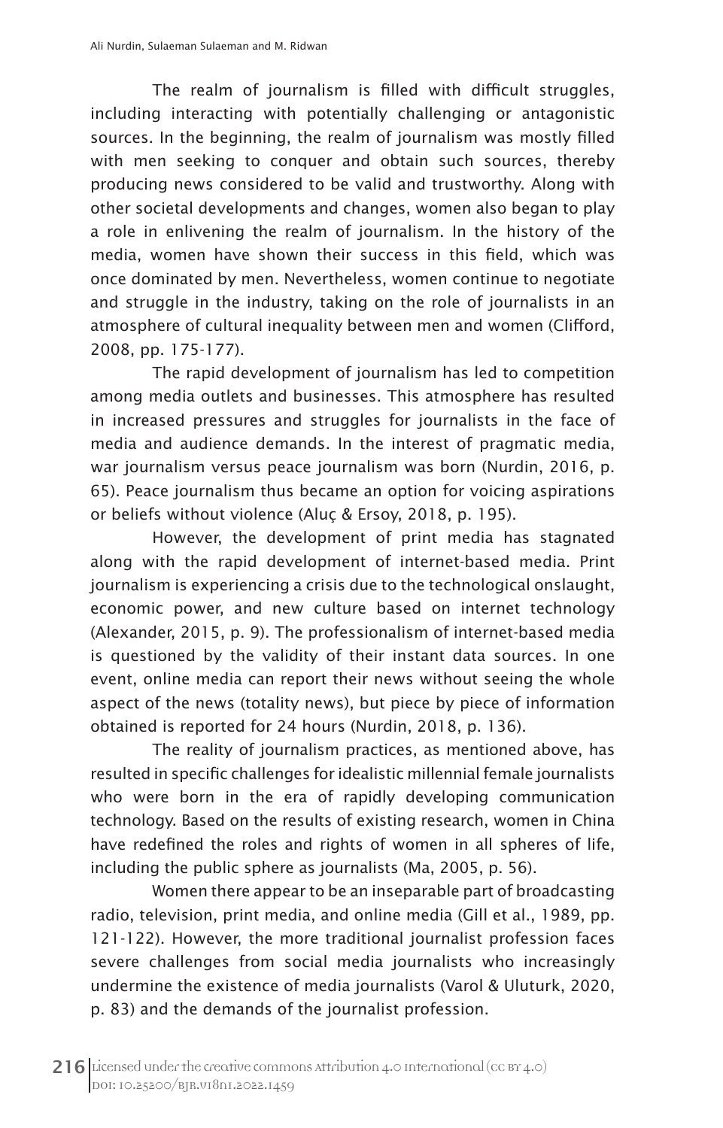The realm of journalism is filled with difficult struggles, including interacting with potentially challenging or antagonistic sources. In the beginning, the realm of journalism was mostly filled with men seeking to conquer and obtain such sources, thereby producing news considered to be valid and trustworthy. Along with other societal developments and changes, women also began to play a role in enlivening the realm of journalism. In the history of the media, women have shown their success in this field, which was once dominated by men. Nevertheless, women continue to negotiate and struggle in the industry, taking on the role of journalists in an atmosphere of cultural inequality between men and women (Clifford, 2008, pp. 175-177).

The rapid development of journalism has led to competition among media outlets and businesses. This atmosphere has resulted in increased pressures and struggles for journalists in the face of media and audience demands. In the interest of pragmatic media, war journalism versus peace journalism was born (Nurdin, 2016, p. 65). Peace journalism thus became an option for voicing aspirations or beliefs without violence (Aluç & Ersoy, 2018, p. 195).

However, the development of print media has stagnated along with the rapid development of internet-based media. Print journalism is experiencing a crisis due to the technological onslaught, economic power, and new culture based on internet technology (Alexander, 2015, p. 9). The professionalism of internet-based media is questioned by the validity of their instant data sources. In one event, online media can report their news without seeing the whole aspect of the news (totality news), but piece by piece of information obtained is reported for 24 hours (Nurdin, 2018, p. 136).

The reality of journalism practices, as mentioned above, has resulted in specific challenges for idealistic millennial female journalists who were born in the era of rapidly developing communication technology. Based on the results of existing research, women in China have redefined the roles and rights of women in all spheres of life, including the public sphere as journalists (Ma, 2005, p. 56).

Women there appear to be an inseparable part of broadcasting radio, television, print media, and online media (Gill et al., 1989, pp. 121-122). However, the more traditional journalist profession faces severe challenges from social media journalists who increasingly undermine the existence of media journalists (Varol & Uluturk, 2020, p. 83) and the demands of the journalist profession.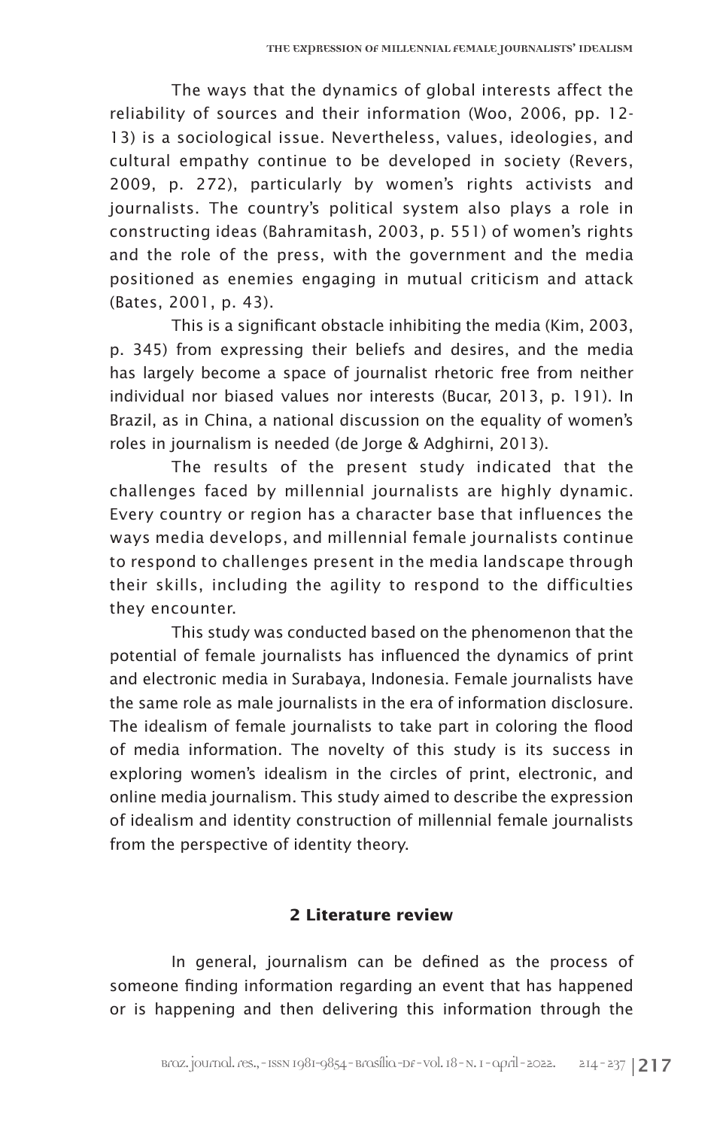The ways that the dynamics of global interests affect the reliability of sources and their information (Woo, 2006, pp. 12- 13) is a sociological issue. Nevertheless, values, ideologies, and cultural empathy continue to be developed in society (Revers, 2009, p. 272), particularly by women's rights activists and journalists. The country's political system also plays a role in constructing ideas (Bahramitash, 2003, p. 551) of women's rights and the role of the press, with the government and the media positioned as enemies engaging in mutual criticism and attack (Bates, 2001, p. 43).

This is a significant obstacle inhibiting the media (Kim, 2003, p. 345) from expressing their beliefs and desires, and the media has largely become a space of journalist rhetoric free from neither individual nor biased values nor interests (Bucar, 2013, p. 191). In Brazil, as in China, a national discussion on the equality of women's roles in journalism is needed (de Jorge & Adghirni, 2013).

The results of the present study indicated that the challenges faced by millennial journalists are highly dynamic. Every country or region has a character base that influences the ways media develops, and millennial female journalists continue to respond to challenges present in the media landscape through their skills, including the agility to respond to the difficulties they encounter.

This study was conducted based on the phenomenon that the potential of female journalists has influenced the dynamics of print and electronic media in Surabaya, Indonesia. Female journalists have the same role as male journalists in the era of information disclosure. The idealism of female journalists to take part in coloring the flood of media information. The novelty of this study is its success in exploring women's idealism in the circles of print, electronic, and online media journalism. This study aimed to describe the expression of idealism and identity construction of millennial female journalists from the perspective of identity theory.

### **2 Literature review**

In general, journalism can be defined as the process of someone finding information regarding an event that has happened or is happening and then delivering this information through the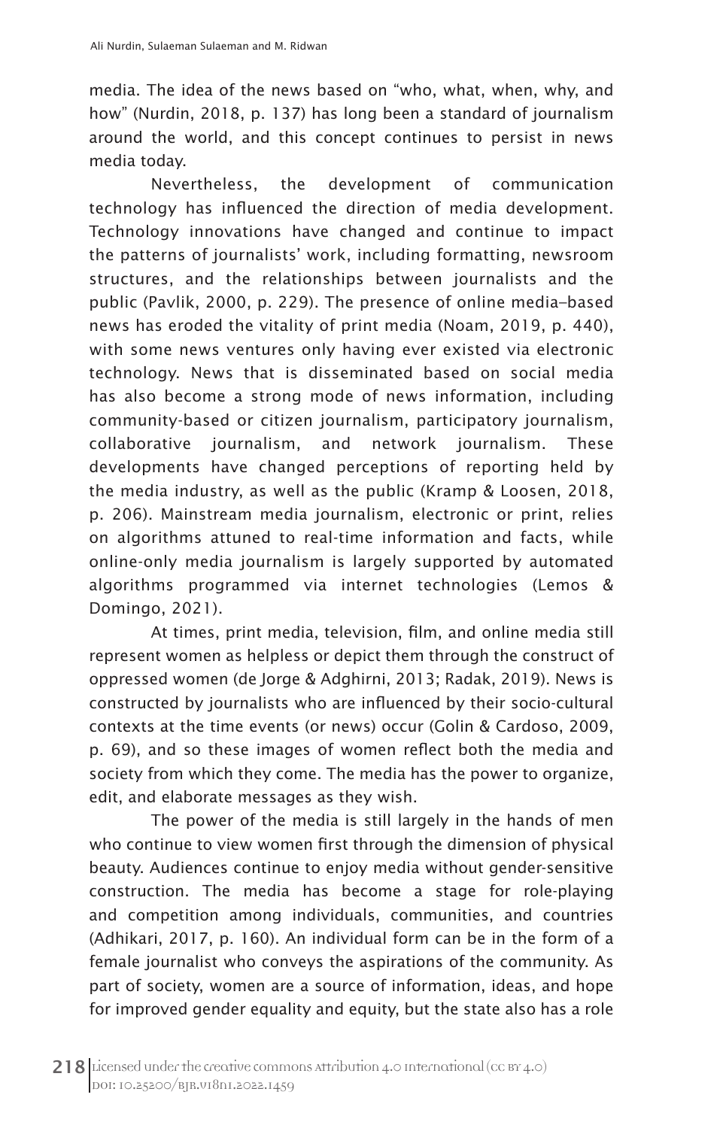media. The idea of the news based on "who, what, when, why, and how" (Nurdin, 2018, p. 137) has long been a standard of journalism around the world, and this concept continues to persist in news media today.

Nevertheless, the development of communication technology has influenced the direction of media development. Technology innovations have changed and continue to impact the patterns of journalists' work, including formatting, newsroom structures, and the relationships between journalists and the public (Pavlik, 2000, p. 229). The presence of online media–based news has eroded the vitality of print media (Noam, 2019, p. 440), with some news ventures only having ever existed via electronic technology. News that is disseminated based on social media has also become a strong mode of news information, including community-based or citizen journalism, participatory journalism, collaborative journalism, and network journalism. These developments have changed perceptions of reporting held by the media industry, as well as the public (Kramp & Loosen, 2018, p. 206). Mainstream media journalism, electronic or print, relies on algorithms attuned to real-time information and facts, while online-only media journalism is largely supported by automated algorithms programmed via internet technologies (Lemos & Domingo, 2021).

At times, print media, television, film, and online media still represent women as helpless or depict them through the construct of oppressed women (de Jorge & Adghirni, 2013; Radak, 2019). News is constructed by journalists who are influenced by their socio-cultural contexts at the time events (or news) occur (Golin & Cardoso, 2009, p. 69), and so these images of women reflect both the media and society from which they come. The media has the power to organize, edit, and elaborate messages as they wish.

The power of the media is still largely in the hands of men who continue to view women first through the dimension of physical beauty. Audiences continue to enjoy media without gender-sensitive construction. The media has become a stage for role-playing and competition among individuals, communities, and countries (Adhikari, 2017, p. 160). An individual form can be in the form of a female journalist who conveys the aspirations of the community. As part of society, women are a source of information, ideas, and hope for improved gender equality and equity, but the state also has a role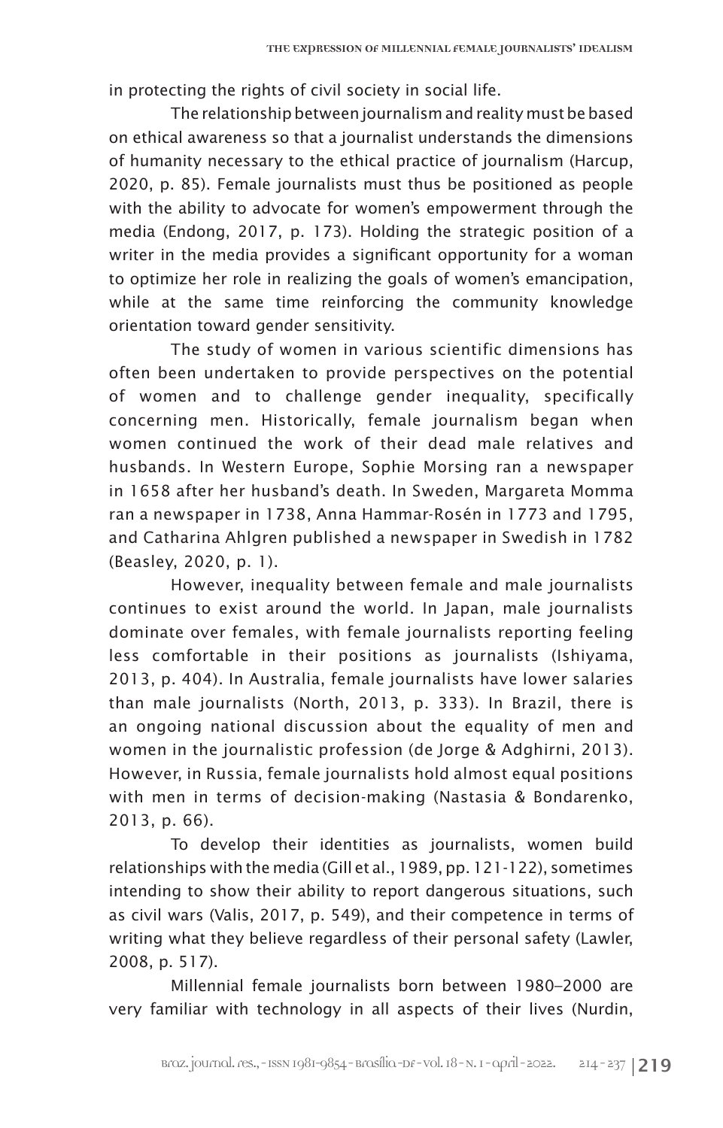in protecting the rights of civil society in social life.

The relationship between journalism and reality must be based on ethical awareness so that a journalist understands the dimensions of humanity necessary to the ethical practice of journalism (Harcup, 2020, p. 85). Female journalists must thus be positioned as people with the ability to advocate for women's empowerment through the media (Endong, 2017, p. 173). Holding the strategic position of a writer in the media provides a significant opportunity for a woman to optimize her role in realizing the goals of women's emancipation, while at the same time reinforcing the community knowledge orientation toward gender sensitivity.

The study of women in various scientific dimensions has often been undertaken to provide perspectives on the potential of women and to challenge gender inequality, specifically concerning men. Historically, female journalism began when women continued the work of their dead male relatives and husbands. In Western Europe, Sophie Morsing ran a newspaper in 1658 after her husband's death. In Sweden, Margareta Momma ran a newspaper in 1738, Anna Hammar-Rosén in 1773 and 1795, and Catharina Ahlgren published a newspaper in Swedish in 1782 (Beasley, 2020, p. 1).

However, inequality between female and male journalists continues to exist around the world. In Japan, male journalists dominate over females, with female journalists reporting feeling less comfortable in their positions as journalists (Ishiyama, 2013, p. 404). In Australia, female journalists have lower salaries than male journalists (North, 2013, p. 333). In Brazil, there is an ongoing national discussion about the equality of men and women in the journalistic profession (de Jorge & Adghirni, 2013). However, in Russia, female journalists hold almost equal positions with men in terms of decision-making (Nastasia & Bondarenko, 2013, p. 66).

To develop their identities as journalists, women build relationships with the media (Gill et al., 1989, pp. 121-122), sometimes intending to show their ability to report dangerous situations, such as civil wars (Valis, 2017, p. 549), and their competence in terms of writing what they believe regardless of their personal safety (Lawler, 2008, p. 517).

Millennial female journalists born between 1980–2000 are very familiar with technology in all aspects of their lives (Nurdin,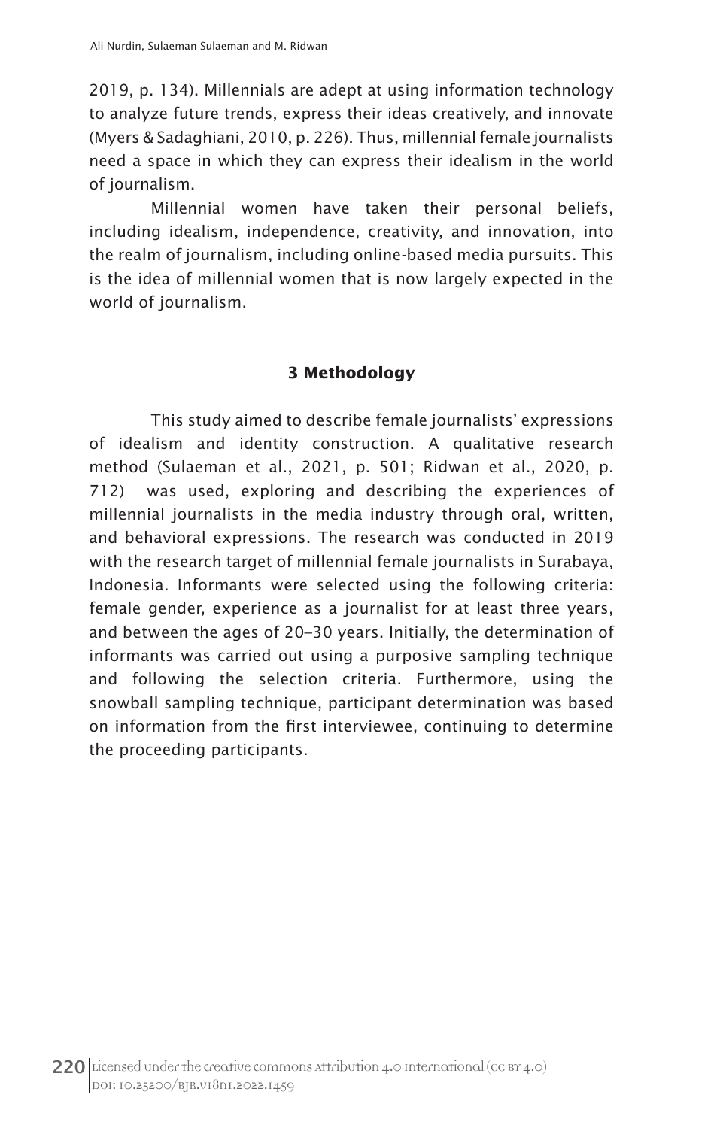2019, p. 134). Millennials are adept at using information technology to analyze future trends, express their ideas creatively, and innovate (Myers & Sadaghiani, 2010, p. 226). Thus, millennial female journalists need a space in which they can express their idealism in the world of journalism.

Millennial women have taken their personal beliefs, including idealism, independence, creativity, and innovation, into the realm of journalism, including online-based media pursuits. This is the idea of millennial women that is now largely expected in the world of journalism.

# **3 Methodology**

This study aimed to describe female journalists' expressions of idealism and identity construction. A qualitative research method (Sulaeman et al., 2021, p. 501; Ridwan et al., 2020, p. 712) was used, exploring and describing the experiences of millennial journalists in the media industry through oral, written, and behavioral expressions. The research was conducted in 2019 with the research target of millennial female journalists in Surabaya, Indonesia. Informants were selected using the following criteria: female gender, experience as a journalist for at least three years, and between the ages of 20–30 years. Initially, the determination of informants was carried out using a purposive sampling technique and following the selection criteria. Furthermore, using the snowball sampling technique, participant determination was based on information from the first interviewee, continuing to determine the proceeding participants.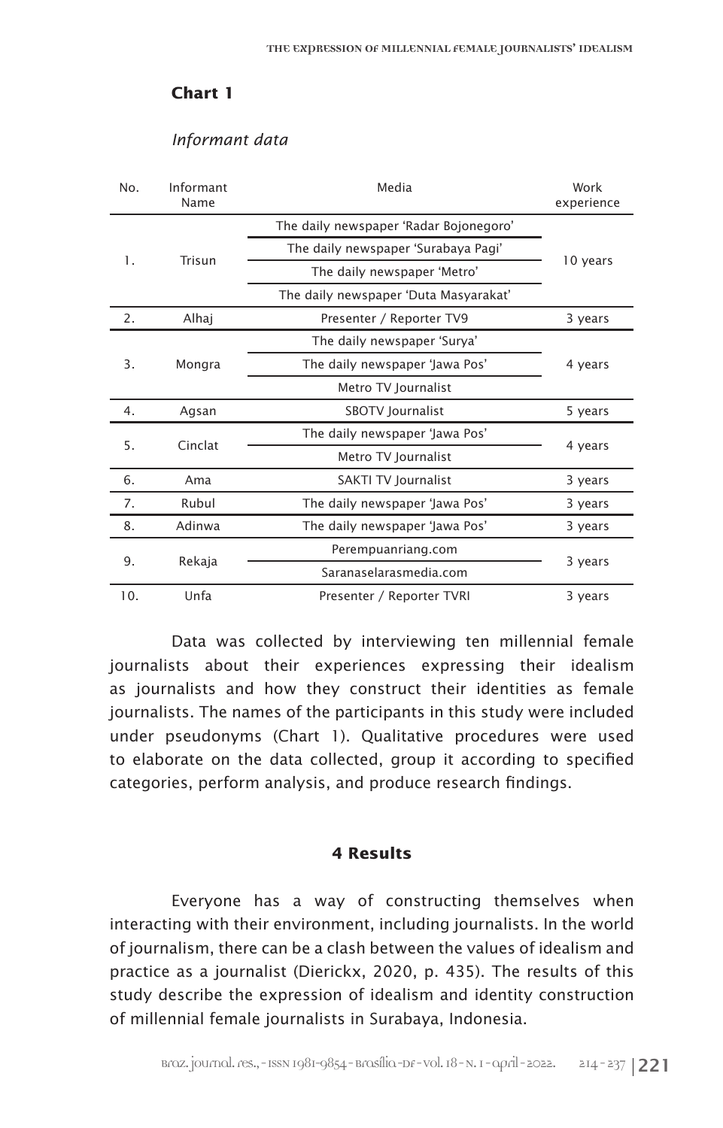#### **Chart 1**

#### *Informant data*

| No. | Informant<br>Name | Media                                  | Work<br>experience |
|-----|-------------------|----------------------------------------|--------------------|
| 1.  | Trisun            | The daily newspaper 'Radar Bojonegoro' | 10 years           |
|     |                   | The daily newspaper 'Surabaya Pagi'    |                    |
|     |                   | The daily newspaper 'Metro'            |                    |
|     |                   | The daily newspaper 'Duta Masyarakat'  |                    |
| 2.  | Alhaj             | Presenter / Reporter TV9               | 3 years            |
| 3.  | Mongra            | The daily newspaper 'Surya'            | 4 years            |
|     |                   | The daily newspaper 'Jawa Pos'         |                    |
|     |                   | Metro TV Journalist                    |                    |
| 4.  | Agsan             | SBOTV Journalist                       | 5 years            |
| 5.  | Cinclat           | The daily newspaper 'Jawa Pos'         | 4 years            |
|     |                   | Metro TV Journalist                    |                    |
| 6.  | Ama               | SAKTI TV Journalist                    | 3 years            |
| 7.  | Rubul             | The daily newspaper 'Jawa Pos'         | 3 years            |
| 8.  | Adinwa            | The daily newspaper 'Jawa Pos'         | 3 years            |
| 9.  | Rekaja            | Perempuanriang.com                     | 3 years            |
|     |                   | Saranaselarasmedia.com                 |                    |
| 10. | Unfa              | Presenter / Reporter TVRI              | 3 years            |

Data was collected by interviewing ten millennial female journalists about their experiences expressing their idealism as journalists and how they construct their identities as female journalists. The names of the participants in this study were included under pseudonyms (Chart 1). Qualitative procedures were used to elaborate on the data collected, group it according to specified categories, perform analysis, and produce research findings.

#### **4 Results**

Everyone has a way of constructing themselves when interacting with their environment, including journalists. In the world of journalism, there can be a clash between the values of idealism and practice as a journalist (Dierickx, 2020, p. 435). The results of this study describe the expression of idealism and identity construction of millennial female journalists in Surabaya, Indonesia.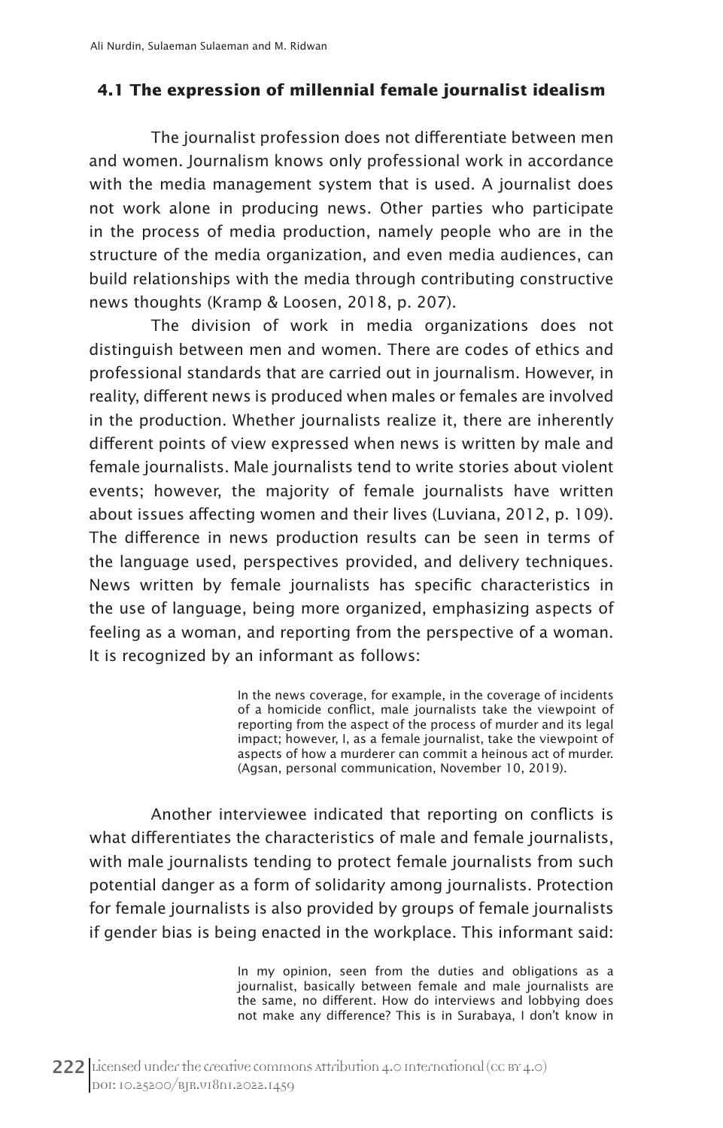## **4.1 The expression of millennial female journalist idealism**

The journalist profession does not differentiate between men and women. Journalism knows only professional work in accordance with the media management system that is used. A journalist does not work alone in producing news. Other parties who participate in the process of media production, namely people who are in the structure of the media organization, and even media audiences, can build relationships with the media through contributing constructive news thoughts (Kramp & Loosen, 2018, p. 207).

The division of work in media organizations does not distinguish between men and women. There are codes of ethics and professional standards that are carried out in journalism. However, in reality, different news is produced when males or females are involved in the production. Whether journalists realize it, there are inherently different points of view expressed when news is written by male and female journalists. Male journalists tend to write stories about violent events; however, the majority of female journalists have written about issues affecting women and their lives (Luviana, 2012, p. 109). The difference in news production results can be seen in terms of the language used, perspectives provided, and delivery techniques. News written by female journalists has specific characteristics in the use of language, being more organized, emphasizing aspects of feeling as a woman, and reporting from the perspective of a woman. It is recognized by an informant as follows:

> In the news coverage, for example, in the coverage of incidents of a homicide conflict, male journalists take the viewpoint of reporting from the aspect of the process of murder and its legal impact; however, I, as a female journalist, take the viewpoint of aspects of how a murderer can commit a heinous act of murder. (Agsan, personal communication, November 10, 2019).

Another interviewee indicated that reporting on conflicts is what differentiates the characteristics of male and female journalists, with male journalists tending to protect female journalists from such potential danger as a form of solidarity among journalists. Protection for female journalists is also provided by groups of female journalists if gender bias is being enacted in the workplace. This informant said:

> In my opinion, seen from the duties and obligations as a journalist, basically between female and male journalists are the same, no different. How do interviews and lobbying does not make any difference? This is in Surabaya, I don't know in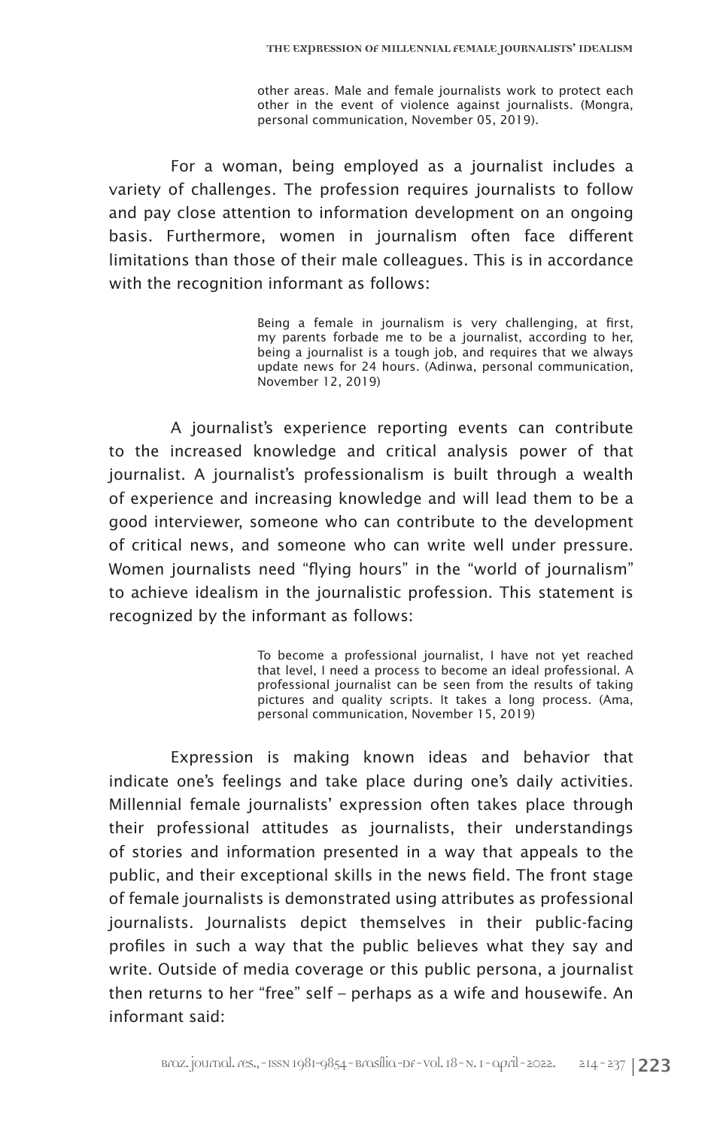other areas. Male and female journalists work to protect each other in the event of violence against journalists. (Mongra, personal communication, November 05, 2019).

For a woman, being employed as a journalist includes a variety of challenges. The profession requires journalists to follow and pay close attention to information development on an ongoing basis. Furthermore, women in journalism often face different limitations than those of their male colleagues. This is in accordance with the recognition informant as follows:

> Being a female in journalism is very challenging, at first, my parents forbade me to be a journalist, according to her, being a journalist is a tough job, and requires that we always update news for 24 hours. (Adinwa, personal communication, November 12, 2019)

A journalist's experience reporting events can contribute to the increased knowledge and critical analysis power of that journalist. A journalist's professionalism is built through a wealth of experience and increasing knowledge and will lead them to be a good interviewer, someone who can contribute to the development of critical news, and someone who can write well under pressure. Women journalists need "flying hours" in the "world of journalism" to achieve idealism in the journalistic profession. This statement is recognized by the informant as follows:

> To become a professional journalist, I have not yet reached that level, I need a process to become an ideal professional. A professional journalist can be seen from the results of taking pictures and quality scripts. It takes a long process. (Ama, personal communication, November 15, 2019)

Expression is making known ideas and behavior that indicate one's feelings and take place during one's daily activities. Millennial female journalists' expression often takes place through their professional attitudes as journalists, their understandings of stories and information presented in a way that appeals to the public, and their exceptional skills in the news field. The front stage of female journalists is demonstrated using attributes as professional journalists. Journalists depict themselves in their public-facing profiles in such a way that the public believes what they say and write. Outside of media coverage or this public persona, a journalist then returns to her "free" self – perhaps as a wife and housewife. An informant said: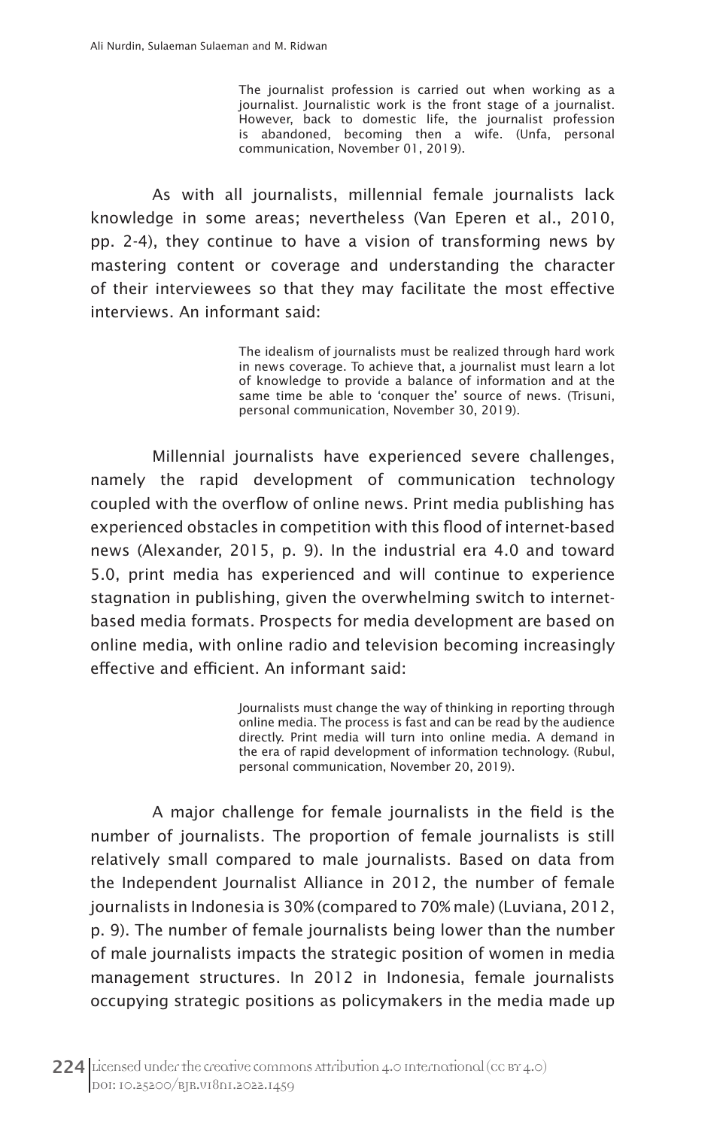The journalist profession is carried out when working as a journalist. Journalistic work is the front stage of a journalist. However, back to domestic life, the journalist profession is abandoned, becoming then a wife. (Unfa, personal communication, November 01, 2019).

As with all journalists, millennial female journalists lack knowledge in some areas; nevertheless (Van Eperen et al., 2010, pp. 2-4), they continue to have a vision of transforming news by mastering content or coverage and understanding the character of their interviewees so that they may facilitate the most effective interviews. An informant said:

> The idealism of journalists must be realized through hard work in news coverage. To achieve that, a journalist must learn a lot of knowledge to provide a balance of information and at the same time be able to 'conquer the' source of news. (Trisuni, personal communication, November 30, 2019).

Millennial journalists have experienced severe challenges, namely the rapid development of communication technology coupled with the overflow of online news. Print media publishing has experienced obstacles in competition with this flood of internet-based news (Alexander, 2015, p. 9). In the industrial era 4.0 and toward 5.0, print media has experienced and will continue to experience stagnation in publishing, given the overwhelming switch to internetbased media formats. Prospects for media development are based on online media, with online radio and television becoming increasingly effective and efficient. An informant said:

> Journalists must change the way of thinking in reporting through online media. The process is fast and can be read by the audience directly. Print media will turn into online media. A demand in the era of rapid development of information technology. (Rubul, personal communication, November 20, 2019).

A major challenge for female journalists in the field is the number of journalists. The proportion of female journalists is still relatively small compared to male journalists. Based on data from the Independent Journalist Alliance in 2012, the number of female journalists in Indonesia is 30% (compared to 70% male) (Luviana, 2012, p. 9). The number of female journalists being lower than the number of male journalists impacts the strategic position of women in media management structures. In 2012 in Indonesia, female journalists occupying strategic positions as policymakers in the media made up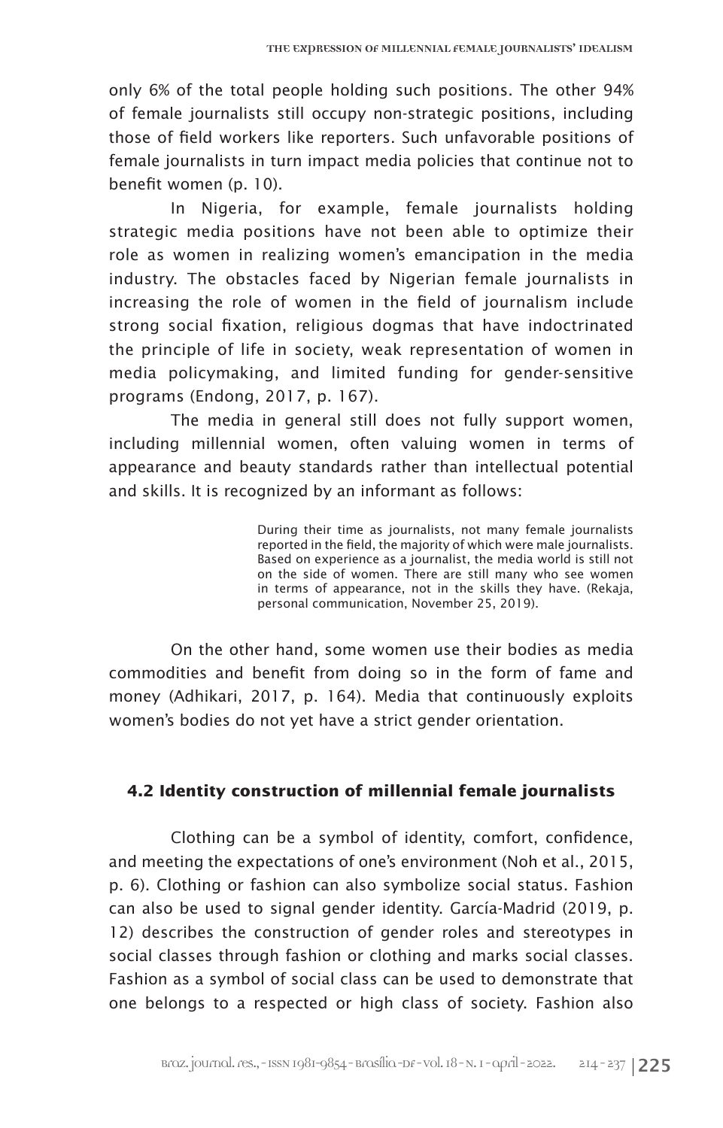only 6% of the total people holding such positions. The other 94% of female journalists still occupy non-strategic positions, including those of field workers like reporters. Such unfavorable positions of female journalists in turn impact media policies that continue not to benefit women (p. 10).

In Nigeria, for example, female journalists holding strategic media positions have not been able to optimize their role as women in realizing women's emancipation in the media industry. The obstacles faced by Nigerian female journalists in increasing the role of women in the field of journalism include strong social fixation, religious dogmas that have indoctrinated the principle of life in society, weak representation of women in media policymaking, and limited funding for gender-sensitive programs (Endong, 2017, p. 167).

The media in general still does not fully support women, including millennial women, often valuing women in terms of appearance and beauty standards rather than intellectual potential and skills. It is recognized by an informant as follows:

> During their time as journalists, not many female journalists reported in the field, the majority of which were male journalists. Based on experience as a journalist, the media world is still not on the side of women. There are still many who see women in terms of appearance, not in the skills they have. (Rekaja, personal communication, November 25, 2019).

On the other hand, some women use their bodies as media commodities and benefit from doing so in the form of fame and money (Adhikari, 2017, p. 164). Media that continuously exploits women's bodies do not yet have a strict gender orientation.

# **4.2 Identity construction of millennial female journalists**

Clothing can be a symbol of identity, comfort, confidence, and meeting the expectations of one's environment (Noh et al., 2015, p. 6). Clothing or fashion can also symbolize social status. Fashion can also be used to signal gender identity. García-Madrid (2019, p. 12) describes the construction of gender roles and stereotypes in social classes through fashion or clothing and marks social classes. Fashion as a symbol of social class can be used to demonstrate that one belongs to a respected or high class of society. Fashion also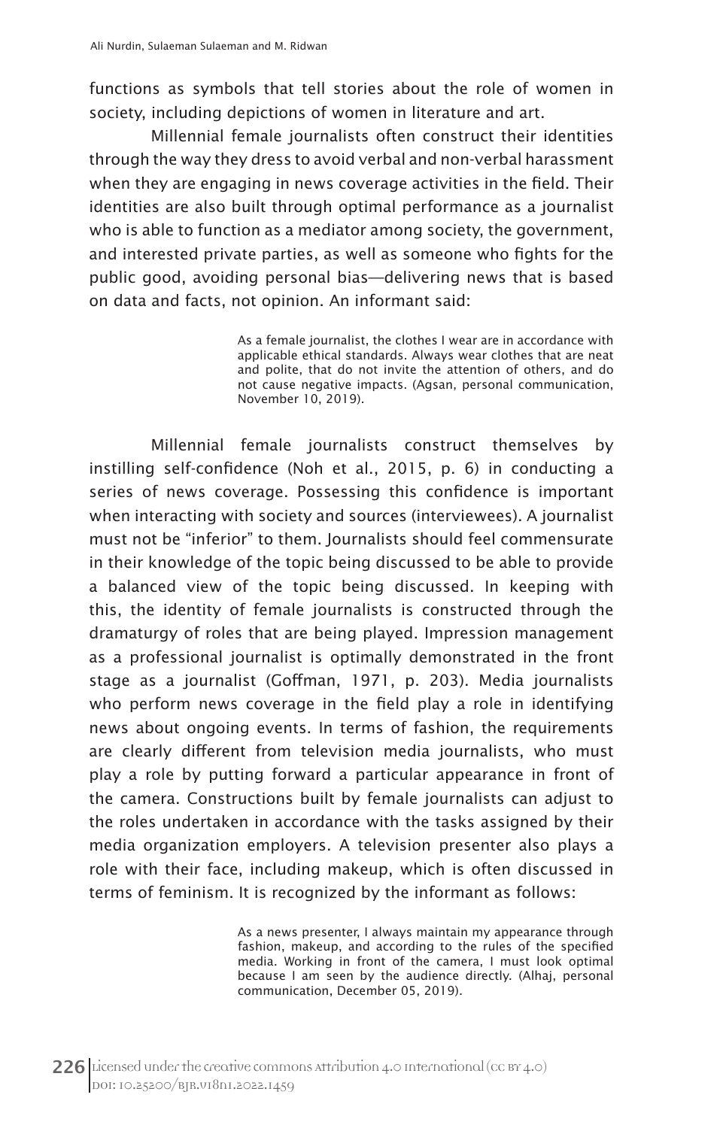functions as symbols that tell stories about the role of women in society, including depictions of women in literature and art.

Millennial female journalists often construct their identities through the way they dress to avoid verbal and non-verbal harassment when they are engaging in news coverage activities in the field. Their identities are also built through optimal performance as a journalist who is able to function as a mediator among society, the government, and interested private parties, as well as someone who fights for the public good, avoiding personal bias—delivering news that is based on data and facts, not opinion. An informant said:

> As a female journalist, the clothes I wear are in accordance with applicable ethical standards. Always wear clothes that are neat and polite, that do not invite the attention of others, and do not cause negative impacts. (Agsan, personal communication, November 10, 2019).

Millennial female journalists construct themselves by instilling self-confidence (Noh et al., 2015, p. 6) in conducting a series of news coverage. Possessing this confidence is important when interacting with society and sources (interviewees). A journalist must not be "inferior" to them. Journalists should feel commensurate in their knowledge of the topic being discussed to be able to provide a balanced view of the topic being discussed. In keeping with this, the identity of female journalists is constructed through the dramaturgy of roles that are being played. Impression management as a professional journalist is optimally demonstrated in the front stage as a journalist (Goffman, 1971, p. 203). Media journalists who perform news coverage in the field play a role in identifying news about ongoing events. In terms of fashion, the requirements are clearly different from television media journalists, who must play a role by putting forward a particular appearance in front of the camera. Constructions built by female journalists can adjust to the roles undertaken in accordance with the tasks assigned by their media organization employers. A television presenter also plays a role with their face, including makeup, which is often discussed in terms of feminism. It is recognized by the informant as follows:

> As a news presenter, I always maintain my appearance through fashion, makeup, and according to the rules of the specified media. Working in front of the camera, I must look optimal because I am seen by the audience directly. (Alhaj, personal communication, December 05, 2019).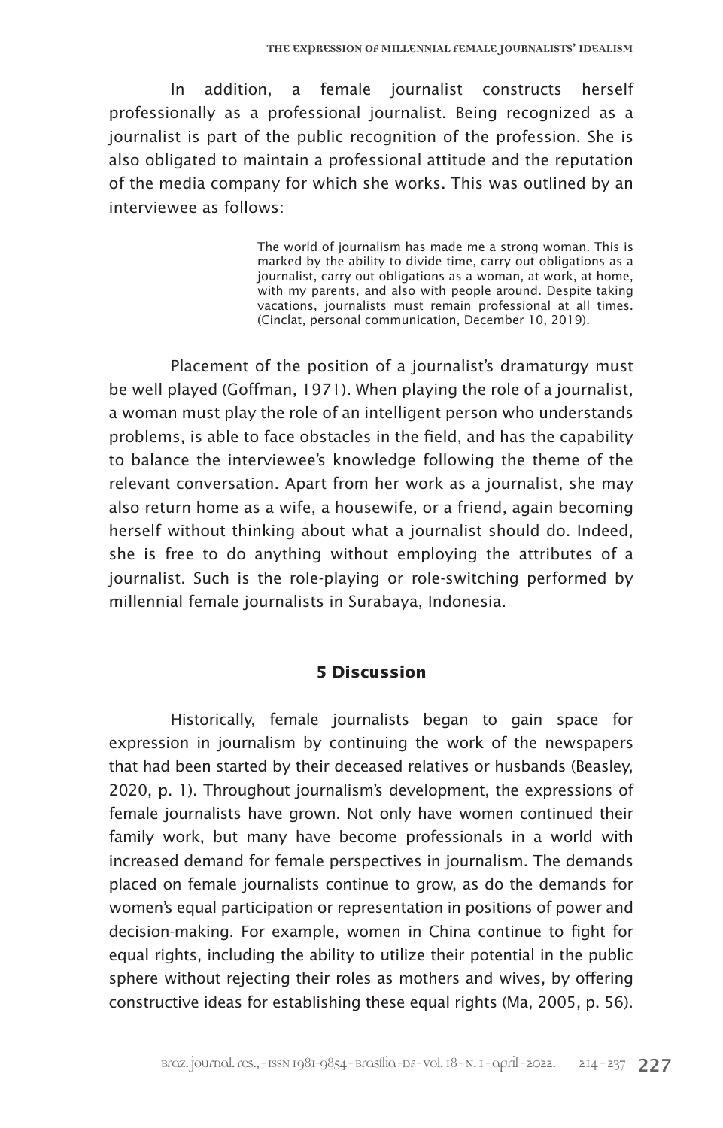In addition, a female journalist constructs herself professionally as a professional journalist. Being recognized as a journalist is part of the public recognition of the profession. She is also obligated to maintain a professional attitude and the reputation of the media company for which she works. This was outlined by an interviewee as follows:

> The world of journalism has made me a strong woman. This is marked by the ability to divide time, carry out obligations as a journalist, carry out obligations as a woman, at work, at home, with my parents, and also with people around. Despite taking vacations, journalists must remain professional at all times. (Cinclat, personal communication, December 10, 2019).

Placement of the position of a journalist's dramaturgy must be well played (Goffman, 1971). When playing the role of a journalist, a woman must play the role of an intelligent person who understands problems, is able to face obstacles in the field, and has the capability to balance the interviewee's knowledge following the theme of the relevant conversation. Apart from her work as a journalist, she may also return home as a wife, a housewife, or a friend, again becoming herself without thinking about what a journalist should do. Indeed, she is free to do anything without employing the attributes of a journalist. Such is the role-playing or role-switching performed by millennial female journalists in Surabaya, Indonesia.

# **5 Discussion**

Historically, female journalists began to gain space for expression in journalism by continuing the work of the newspapers that had been started by their deceased relatives or husbands (Beasley, 2020, p. 1). Throughout journalism's development, the expressions of female journalists have grown. Not only have women continued their family work, but many have become professionals in a world with increased demand for female perspectives in journalism. The demands placed on female journalists continue to grow, as do the demands for women's equal participation or representation in positions of power and decision-making. For example, women in China continue to fight for equal rights, including the ability to utilize their potential in the public sphere without rejecting their roles as mothers and wives, by offering constructive ideas for establishing these equal rights (Ma, 2005, p. 56).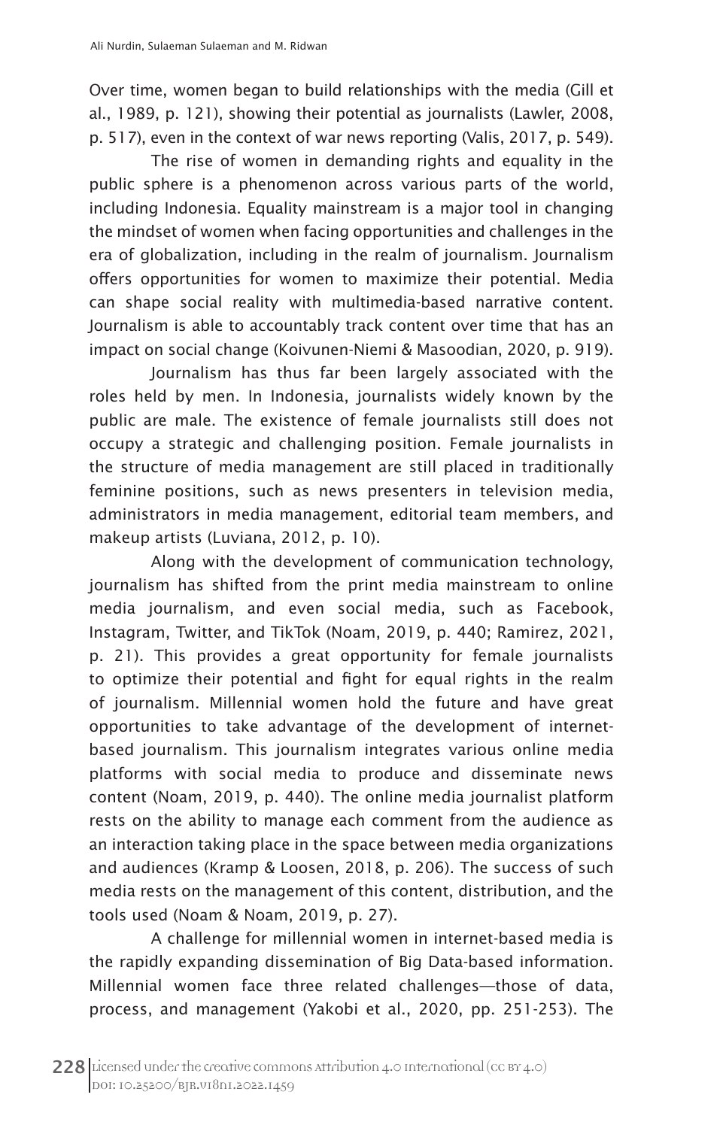Over time, women began to build relationships with the media (Gill et al., 1989, p. 121), showing their potential as journalists (Lawler, 2008, p. 517), even in the context of war news reporting (Valis, 2017, p. 549).

The rise of women in demanding rights and equality in the public sphere is a phenomenon across various parts of the world, including Indonesia. Equality mainstream is a major tool in changing the mindset of women when facing opportunities and challenges in the era of globalization, including in the realm of journalism. Journalism offers opportunities for women to maximize their potential. Media can shape social reality with multimedia-based narrative content. Journalism is able to accountably track content over time that has an impact on social change (Koivunen-Niemi & Masoodian, 2020, p. 919).

Journalism has thus far been largely associated with the roles held by men. In Indonesia, journalists widely known by the public are male. The existence of female journalists still does not occupy a strategic and challenging position. Female journalists in the structure of media management are still placed in traditionally feminine positions, such as news presenters in television media, administrators in media management, editorial team members, and makeup artists (Luviana, 2012, p. 10).

Along with the development of communication technology, journalism has shifted from the print media mainstream to online media journalism, and even social media, such as Facebook, Instagram, Twitter, and TikTok (Noam, 2019, p. 440; Ramirez, 2021, p. 21). This provides a great opportunity for female journalists to optimize their potential and fight for equal rights in the realm of journalism. Millennial women hold the future and have great opportunities to take advantage of the development of internetbased journalism. This journalism integrates various online media platforms with social media to produce and disseminate news content (Noam, 2019, p. 440). The online media journalist platform rests on the ability to manage each comment from the audience as an interaction taking place in the space between media organizations and audiences (Kramp & Loosen, 2018, p. 206). The success of such media rests on the management of this content, distribution, and the tools used (Noam & Noam, 2019, p. 27).

A challenge for millennial women in internet-based media is the rapidly expanding dissemination of Big Data-based information. Millennial women face three related challenges—those of data, process, and management (Yakobi et al., 2020, pp. 251-253). The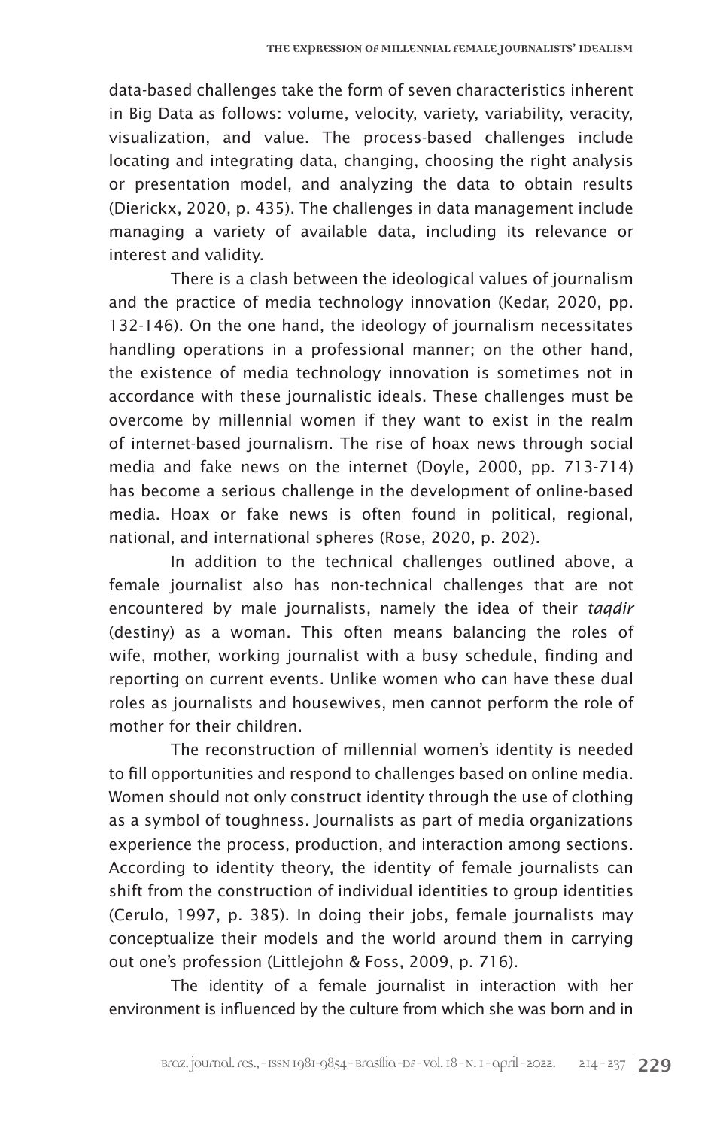data-based challenges take the form of seven characteristics inherent in Big Data as follows: volume, velocity, variety, variability, veracity, visualization, and value. The process-based challenges include locating and integrating data, changing, choosing the right analysis or presentation model, and analyzing the data to obtain results (Dierickx, 2020, p. 435). The challenges in data management include managing a variety of available data, including its relevance or interest and validity.

There is a clash between the ideological values of journalism and the practice of media technology innovation (Kedar, 2020, pp. 132-146). On the one hand, the ideology of journalism necessitates handling operations in a professional manner; on the other hand, the existence of media technology innovation is sometimes not in accordance with these journalistic ideals. These challenges must be overcome by millennial women if they want to exist in the realm of internet-based journalism. The rise of hoax news through social media and fake news on the internet (Doyle, 2000, pp. 713-714) has become a serious challenge in the development of online-based media. Hoax or fake news is often found in political, regional, national, and international spheres (Rose, 2020, p. 202).

In addition to the technical challenges outlined above, a female journalist also has non-technical challenges that are not encountered by male journalists, namely the idea of their *taqdir* (destiny) as a woman. This often means balancing the roles of wife, mother, working journalist with a busy schedule, finding and reporting on current events. Unlike women who can have these dual roles as journalists and housewives, men cannot perform the role of mother for their children.

The reconstruction of millennial women's identity is needed to fill opportunities and respond to challenges based on online media. Women should not only construct identity through the use of clothing as a symbol of toughness. Journalists as part of media organizations experience the process, production, and interaction among sections. According to identity theory, the identity of female journalists can shift from the construction of individual identities to group identities (Cerulo, 1997, p. 385). In doing their jobs, female journalists may conceptualize their models and the world around them in carrying out one's profession (Littlejohn & Foss, 2009, p. 716).

The identity of a female journalist in interaction with her environment is influenced by the culture from which she was born and in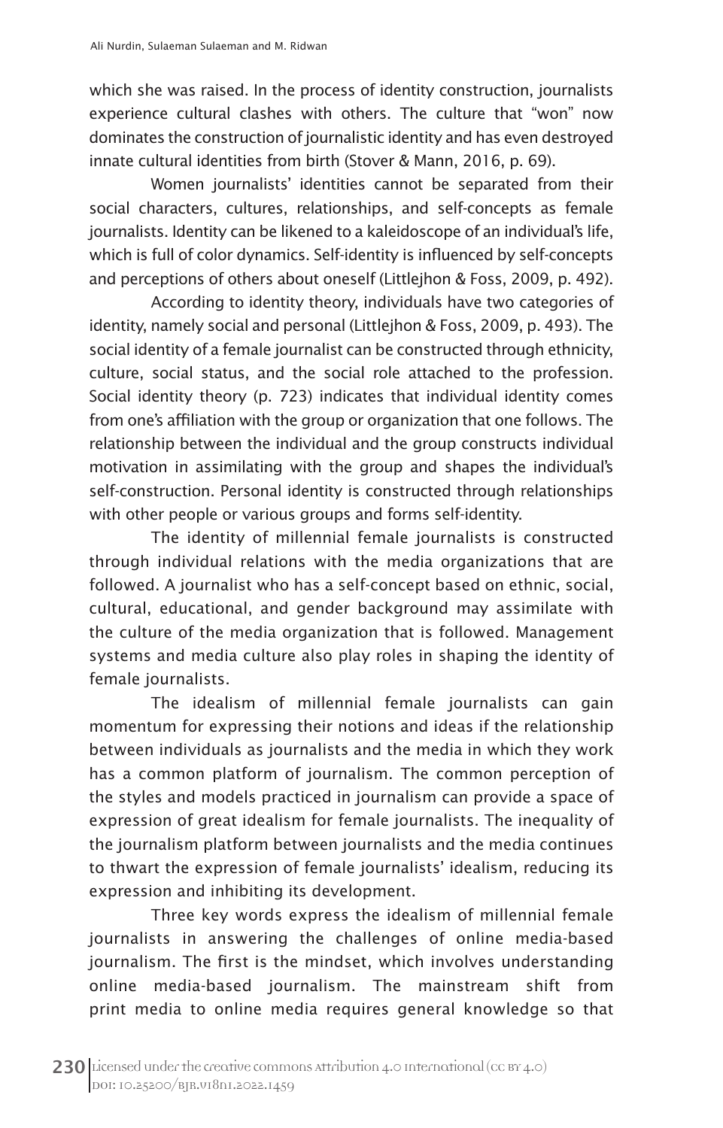which she was raised. In the process of identity construction, journalists experience cultural clashes with others. The culture that "won" now dominates the construction of journalistic identity and has even destroyed innate cultural identities from birth (Stover & Mann, 2016, p. 69).

Women journalists' identities cannot be separated from their social characters, cultures, relationships, and self-concepts as female journalists. Identity can be likened to a kaleidoscope of an individual's life, which is full of color dynamics. Self-identity is influenced by self-concepts and perceptions of others about oneself (Littlejhon & Foss, 2009, p. 492).

According to identity theory, individuals have two categories of identity, namely social and personal (Littlejhon & Foss, 2009, p. 493). The social identity of a female journalist can be constructed through ethnicity, culture, social status, and the social role attached to the profession. Social identity theory (p. 723) indicates that individual identity comes from one's affiliation with the group or organization that one follows. The relationship between the individual and the group constructs individual motivation in assimilating with the group and shapes the individual's self-construction. Personal identity is constructed through relationships with other people or various groups and forms self-identity.

The identity of millennial female journalists is constructed through individual relations with the media organizations that are followed. A journalist who has a self-concept based on ethnic, social, cultural, educational, and gender background may assimilate with the culture of the media organization that is followed. Management systems and media culture also play roles in shaping the identity of female journalists.

The idealism of millennial female journalists can gain momentum for expressing their notions and ideas if the relationship between individuals as journalists and the media in which they work has a common platform of journalism. The common perception of the styles and models practiced in journalism can provide a space of expression of great idealism for female journalists. The inequality of the journalism platform between journalists and the media continues to thwart the expression of female journalists' idealism, reducing its expression and inhibiting its development.

Three key words express the idealism of millennial female journalists in answering the challenges of online media-based journalism. The first is the mindset, which involves understanding online media-based journalism. The mainstream shift from print media to online media requires general knowledge so that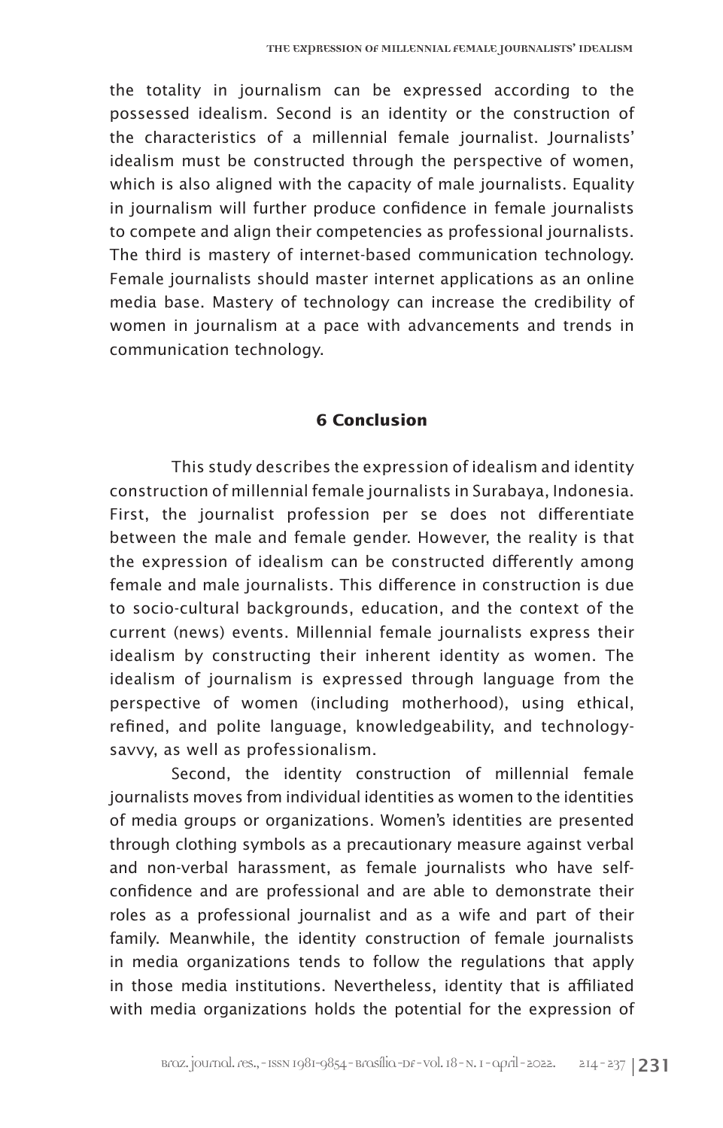the totality in journalism can be expressed according to the possessed idealism. Second is an identity or the construction of the characteristics of a millennial female journalist. Journalists' idealism must be constructed through the perspective of women, which is also aligned with the capacity of male journalists. Equality in journalism will further produce confidence in female journalists to compete and align their competencies as professional journalists. The third is mastery of internet-based communication technology. Female journalists should master internet applications as an online media base. Mastery of technology can increase the credibility of women in journalism at a pace with advancements and trends in communication technology.

## **6 Conclusion**

This study describes the expression of idealism and identity construction of millennial female journalists in Surabaya, Indonesia. First, the journalist profession per se does not differentiate between the male and female gender. However, the reality is that the expression of idealism can be constructed differently among female and male journalists. This difference in construction is due to socio-cultural backgrounds, education, and the context of the current (news) events. Millennial female journalists express their idealism by constructing their inherent identity as women. The idealism of journalism is expressed through language from the perspective of women (including motherhood), using ethical, refined, and polite language, knowledgeability, and technologysavvy, as well as professionalism.

Second, the identity construction of millennial female journalists moves from individual identities as women to the identities of media groups or organizations. Women's identities are presented through clothing symbols as a precautionary measure against verbal and non-verbal harassment, as female journalists who have selfconfidence and are professional and are able to demonstrate their roles as a professional journalist and as a wife and part of their family. Meanwhile, the identity construction of female journalists in media organizations tends to follow the regulations that apply in those media institutions. Nevertheless, identity that is affiliated with media organizations holds the potential for the expression of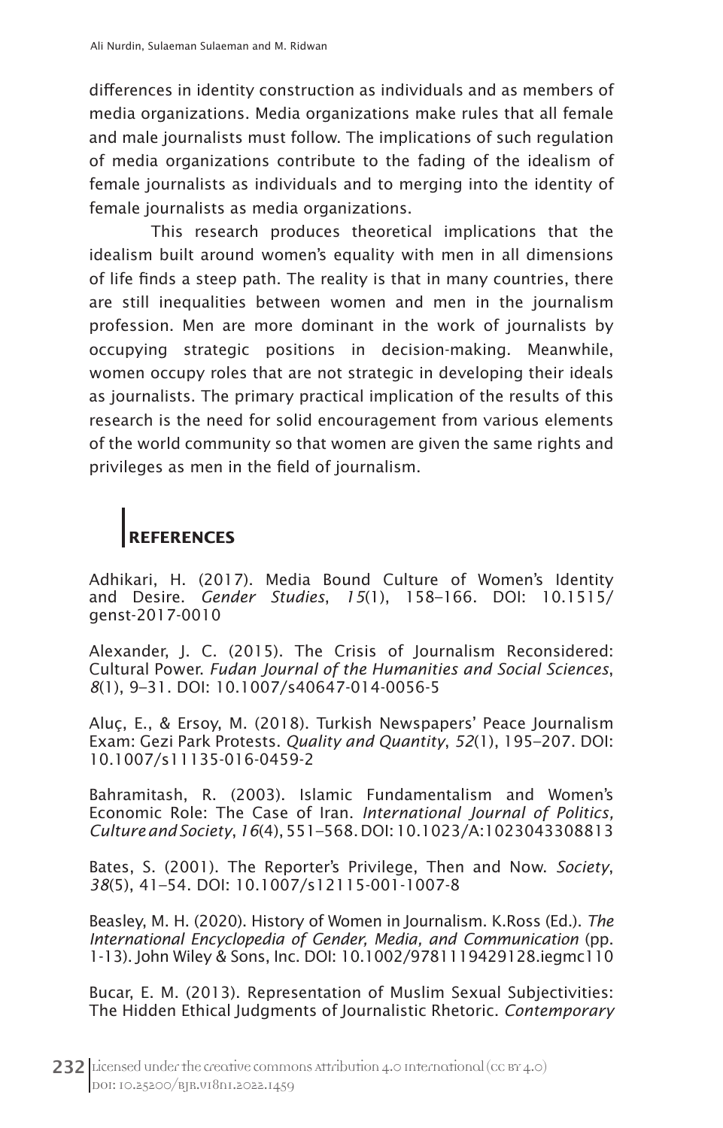differences in identity construction as individuals and as members of media organizations. Media organizations make rules that all female and male journalists must follow. The implications of such regulation of media organizations contribute to the fading of the idealism of female journalists as individuals and to merging into the identity of female journalists as media organizations.

This research produces theoretical implications that the idealism built around women's equality with men in all dimensions of life finds a steep path. The reality is that in many countries, there are still inequalities between women and men in the journalism profession. Men are more dominant in the work of journalists by occupying strategic positions in decision-making. Meanwhile, women occupy roles that are not strategic in developing their ideals as journalists. The primary practical implication of the results of this research is the need for solid encouragement from various elements of the world community so that women are given the same rights and privileges as men in the field of journalism.

# **REFERENCES**

Adhikari, H. (2017). Media Bound Culture of Women's Identity and Desire. *Gender Studies*, *15*(1), 158–166. DOI: 10.1515/ genst-2017-0010

Alexander, J. C. (2015). The Crisis of Journalism Reconsidered: Cultural Power. *Fudan Journal of the Humanities and Social Sciences*, *8*(1), 9–31. DOI: 10.1007/s40647-014-0056-5

Aluç, E., & Ersoy, M. (2018). Turkish Newspapers' Peace Journalism Exam: Gezi Park Protests. *Quality and Quantity*, *52*(1), 195–207. DOI: 10.1007/s11135-016-0459-2

Bahramitash, R. (2003). Islamic Fundamentalism and Women's Economic Role: The Case of Iran. *International Journal of Politics, Culture and Society*, *16*(4), 551–568. DOI: 10.1023/A:1023043308813

Bates, S. (2001). The Reporter's Privilege, Then and Now. *Society*, *38*(5), 41–54. DOI: 10.1007/s12115-001-1007-8

Beasley, M. H. (2020). History of Women in Journalism. K.Ross (Ed.). *The International Encyclopedia of Gender, Media, and Communication* (pp. 1-13). John Wiley & Sons, Inc. DOI: 10.1002/9781119429128.iegmc110

Bucar, E. M. (2013). Representation of Muslim Sexual Subjectivities: The Hidden Ethical Judgments of Journalistic Rhetoric. *Contemporary*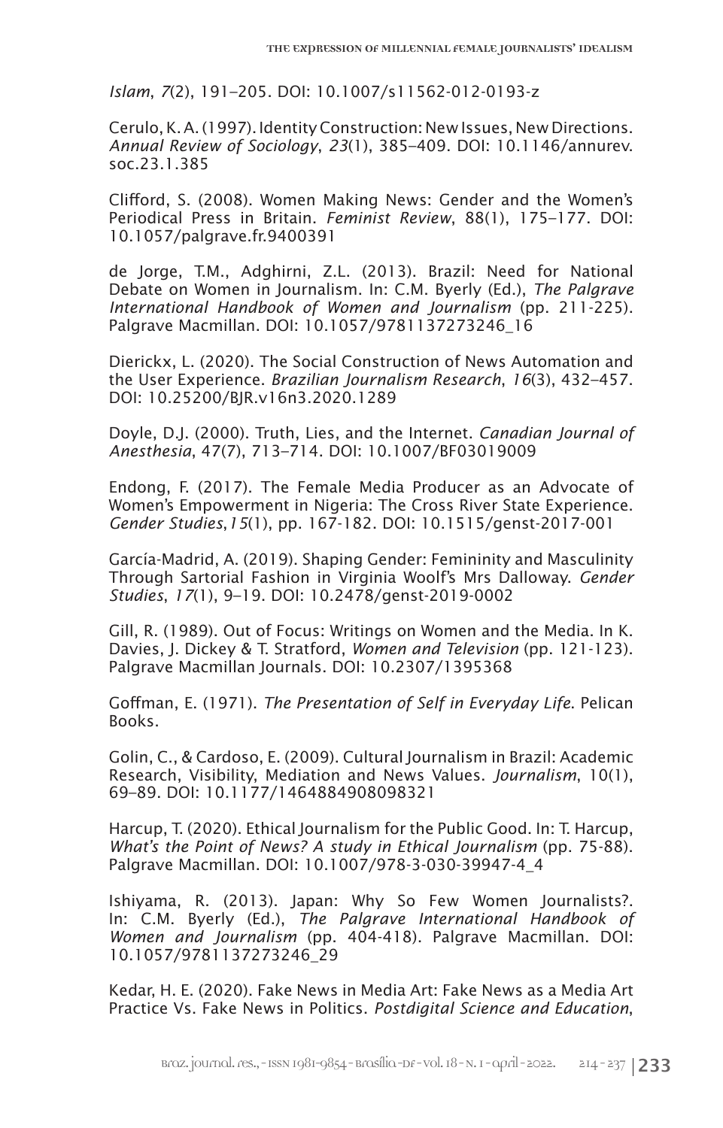*Islam*, *7*(2), 191–205. DOI: 10.1007/s11562-012-0193-z

Cerulo, K. A. (1997). Identity Construction: New Issues, New Directions. *Annual Review of Sociology*, *23*(1), 385–409. DOI: 10.1146/annurev. soc.23.1.385

Clifford, S. (2008). Women Making News: Gender and the Women's Periodical Press in Britain. *Feminist Review*, 88(1), 175–177. DOI: 10.1057/palgrave.fr.9400391

de Jorge, T.M., Adghirni, Z.L. (2013). Brazil: Need for National Debate on Women in Journalism. In: C.M. Byerly (Ed.), *The Palgrave International Handbook of Women and Journalism* (pp. 211-225). Palgrave Macmillan. DOI: 10.1057/9781137273246\_16

Dierickx, L. (2020). The Social Construction of News Automation and the User Experience. *Brazilian Journalism Research*, *16*(3), 432–457. DOI: 10.25200/BJR.v16n3.2020.1289

Doyle, D.J. (2000). Truth, Lies, and the Internet. *Canadian Journal of Anesthesia*, 47(7), 713–714. DOI: 10.1007/BF03019009

Endong, F. (2017). The Female Media Producer as an Advocate of Women's Empowerment in Nigeria: The Cross River State Experience. *Gender Studies*,*15*(1), pp. 167-182. DOI: 10.1515/genst-2017-001

García-Madrid, A. (2019). Shaping Gender: Femininity and Masculinity Through Sartorial Fashion in Virginia Woolf's Mrs Dalloway. *Gender Studies*, *17*(1), 9–19. DOI: 10.2478/genst-2019-0002

Gill, R. (1989). Out of Focus: Writings on Women and the Media. In K. Davies, J. Dickey & T. Stratford, *Women and Television* (pp. 121-123). Palgrave Macmillan Journals. DOI: 10.2307/1395368

Goffman, E. (1971). *The Presentation of Self in Everyday Life*. Pelican Books.

Golin, C., & Cardoso, E. (2009). Cultural Journalism in Brazil: Academic Research, Visibility, Mediation and News Values. *Journalism*, 10(1), 69–89. DOI: 10.1177/1464884908098321

Harcup, T. (2020). Ethical Journalism for the Public Good. In: T. Harcup, *What's the Point of News? A study in Ethical Journalism* (pp. 75-88). Palgrave Macmillan. DOI: 10.1007/978-3-030-39947-4\_4

Ishiyama, R. (2013). Japan: Why So Few Women Journalists?. In: C.M. Byerly (Ed.), *The Palgrave International Handbook of Women and Journalism* (pp. 404-418). Palgrave Macmillan. DOI: 10.1057/9781137273246\_29

Kedar, H. E. (2020). Fake News in Media Art: Fake News as a Media Art Practice Vs. Fake News in Politics. *Postdigital Science and Education*,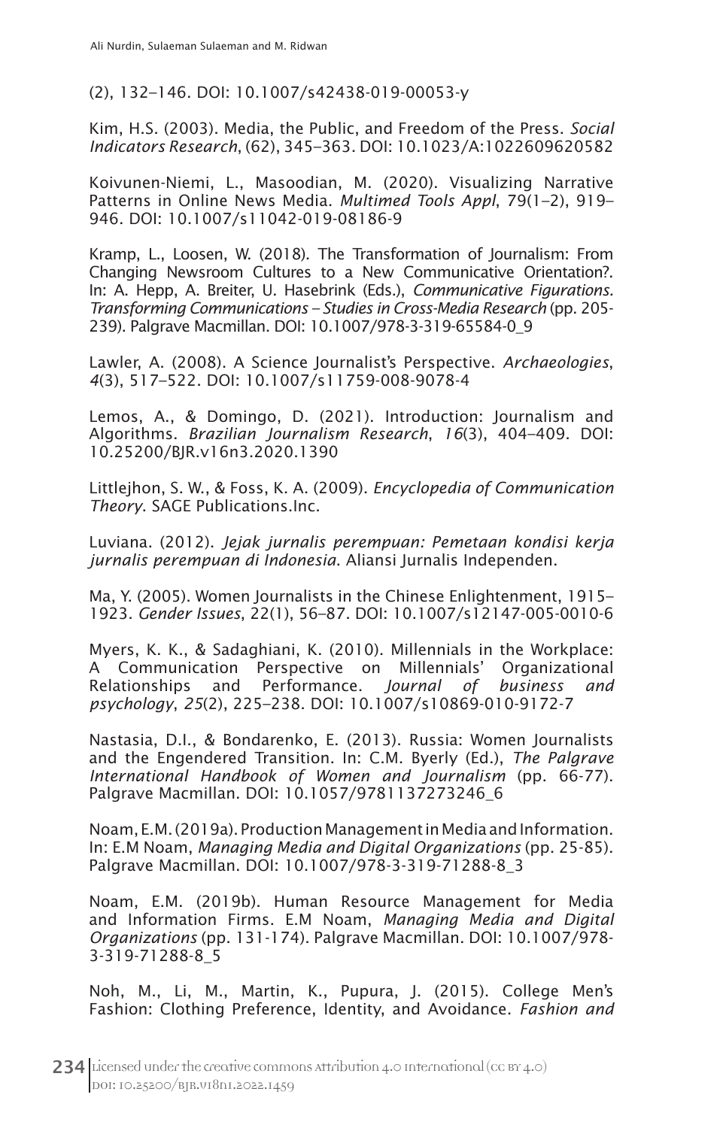(2), 132–146. DOI: 10.1007/s42438-019-00053-y

Kim, H.S. (2003). Media, the Public, and Freedom of the Press. *Social Indicators Research*, (62), 345–363. DOI: 10.1023/A:1022609620582

Koivunen-Niemi, L., Masoodian, M. (2020). Visualizing Narrative Patterns in Online News Media. *Multimed Tools Appl*, 79(1–2), 919– 946. DOI: 10.1007/s11042-019-08186-9

Kramp, L., Loosen, W. (2018). The Transformation of Journalism: From Changing Newsroom Cultures to a New Communicative Orientation?. In: A. Hepp, A. Breiter, U. Hasebrink (Eds.), *Communicative Figurations. Transforming Communications – Studies in Cross-Media Research* (pp. 205- 239). Palgrave Macmillan. DOI: 10.1007/978-3-319-65584-0\_9

Lawler, A. (2008). A Science Journalist's Perspective. *Archaeologies*, *4*(3), 517–522. DOI: 10.1007/s11759-008-9078-4

Lemos, A., & Domingo, D. (2021). Introduction: Journalism and Algorithms. *Brazilian Journalism Research*, *16*(3), 404–409. DOI: 10.25200/BJR.v16n3.2020.1390

Littlejhon, S. W., & Foss, K. A. (2009). *Encyclopedia of Communication Theory*. SAGE Publications.Inc.

Luviana. (2012). *Jejak jurnalis perempuan: Pemetaan kondisi kerja jurnalis perempuan di Indonesia*. Aliansi Jurnalis Independen.

Ma, Y. (2005). Women Journalists in the Chinese Enlightenment, 1915– 1923. *Gender Issues*, 22(1), 56–87. DOI: 10.1007/s12147-005-0010-6

Myers, K. K., & Sadaghiani, K. (2010). Millennials in the Workplace: A Communication Perspective on Millennials' Organizational Relationships and Performance. *Journal of business and psychology*, *25*(2), 225–238. DOI: 10.1007/s10869-010-9172-7

Nastasia, D.I., & Bondarenko, E. (2013). Russia: Women Journalists and the Engendered Transition. In: C.M. Byerly (Ed.), *The Palgrave International Handbook of Women and Journalism* (pp. 66-77). Palgrave Macmillan. DOI: 10.1057/9781137273246\_6

Noam, E.M. (2019a). Production Management in Media and Information. In: E.M Noam, *Managing Media and Digital Organizations* (pp. 25-85). Palgrave Macmillan. DOI: 10.1007/978-3-319-71288-8\_3

Noam, E.M. (2019b). Human Resource Management for Media and Information Firms. E.M Noam, *Managing Media and Digital Organizations* (pp. 131-174). Palgrave Macmillan. DOI: 10.1007/978- 3-319-71288-8\_5

Noh, M., Li, M., Martin, K., Pupura, J. (2015). College Men's Fashion: Clothing Preference, Identity, and Avoidance. *Fashion and*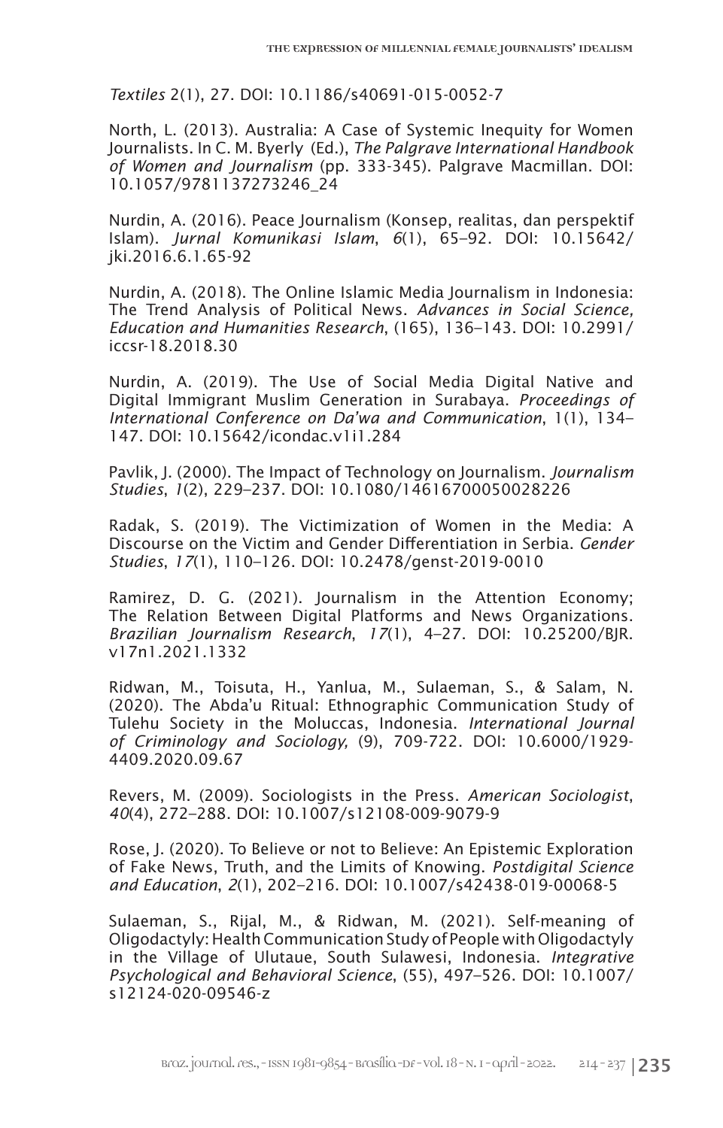*Textiles* 2(1), 27. DOI: 10.1186/s40691-015-0052-7

North, L. (2013). Australia: A Case of Systemic Inequity for Women Journalists. In C. M. Byerly (Ed.), *The Palgrave International Handbook of Women and Journalism* (pp. 333-345). Palgrave Macmillan. DOI: 10.1057/9781137273246\_24

Nurdin, A. (2016). Peace Journalism (Konsep, realitas, dan perspektif Islam). *Jurnal Komunikasi Islam*, *6*(1), 65–92. DOI: 10.15642/ jki.2016.6.1.65-92

Nurdin, A. (2018). The Online Islamic Media Journalism in Indonesia: The Trend Analysis of Political News. *Advances in Social Science, Education and Humanities Research*, (165), 136–143. DOI: 10.2991/ iccsr-18.2018.30

Nurdin, A. (2019). The Use of Social Media Digital Native and Digital Immigrant Muslim Generation in Surabaya. *Proceedings of International Conference on Da'wa and Communication*, 1(1), 134– 147. DOI: 10.15642/icondac.v1i1.284

Pavlik, J. (2000). The Impact of Technology on Journalism. *Journalism Studies*, *1*(2), 229–237. DOI: 10.1080/14616700050028226

Radak, S. (2019). The Victimization of Women in the Media: A Discourse on the Victim and Gender Differentiation in Serbia. *Gender Studies*, *17*(1), 110–126. DOI: 10.2478/genst-2019-0010

Ramirez, D. G. (2021). Journalism in the Attention Economy; The Relation Between Digital Platforms and News Organizations. *Brazilian Journalism Research*, *17*(1), 4–27. DOI: 10.25200/BJR. v17n1.2021.1332

Ridwan, M., Toisuta, H., Yanlua, M., Sulaeman, S., & Salam, N. (2020). The Abda'u Ritual: Ethnographic Communication Study of Tulehu Society in the Moluccas, Indonesia. *International Journal of Criminology and Sociology,* (9), 709-722. DOI: 10.6000/1929- 4409.2020.09.67

Revers, M. (2009). Sociologists in the Press. *American Sociologist*, *40*(4), 272–288. DOI: 10.1007/s12108-009-9079-9

Rose, J. (2020). To Believe or not to Believe: An Epistemic Exploration of Fake News, Truth, and the Limits of Knowing. *Postdigital Science and Education*, *2*(1), 202–216. DOI: 10.1007/s42438-019-00068-5

Sulaeman, S., Rijal, M., & Ridwan, M. (2021). Self-meaning of Oligodactyly: Health Communication Study of People with Oligodactyly in the Village of Ulutaue, South Sulawesi, Indonesia. *Integrative Psychological and Behavioral Science*, (55), 497–526. DOI: 10.1007/ s12124-020-09546-z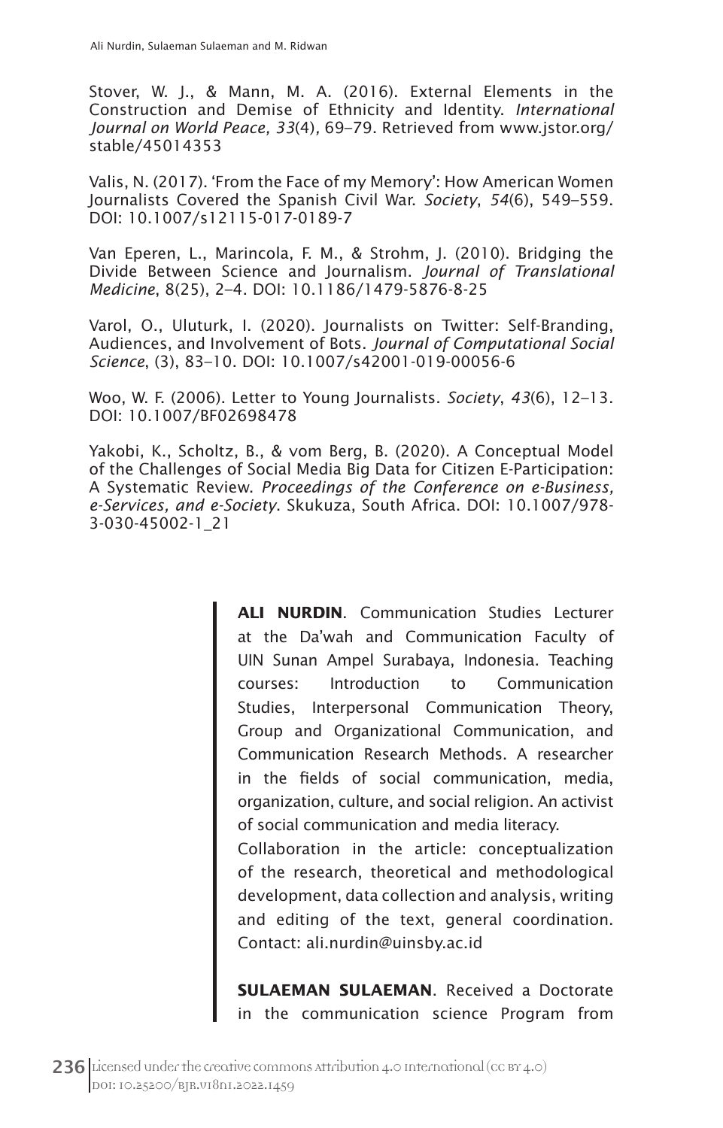Stover, W. J., & Mann, M. A. (2016). External Elements in the Construction and Demise of Ethnicity and Identity. *International Journal on World Peace, 33*(4)*,* 69–79. Retrieved from www.jstor.org/ stable/45014353

Valis, N. (2017). 'From the Face of my Memory': How American Women Journalists Covered the Spanish Civil War. *Society*, *54*(6), 549–559. DOI: 10.1007/s12115-017-0189-7

Van Eperen, L., Marincola, F. M., & Strohm, J. (2010). Bridging the Divide Between Science and Journalism. *Journal of Translational Medicine*, 8(25), 2–4. DOI: 10.1186/1479-5876-8-25

Varol, O., Uluturk, I. (2020). Journalists on Twitter: Self-Branding, Audiences, and Involvement of Bots. *Journal of Computational Social Science*, (3), 83–10. DOI: 10.1007/s42001-019-00056-6

Woo, W. F. (2006). Letter to Young Journalists. *Society*, *43*(6), 12–13. DOI: 10.1007/BF02698478

Yakobi, K., Scholtz, B., & vom Berg, B. (2020). A Conceptual Model of the Challenges of Social Media Big Data for Citizen E-Participation: A Systematic Review. *Proceedings of the Conference on e-Business, e-Services, and e-Society*. Skukuza, South Africa. DOI: 10.1007/978- 3-030-45002-1\_21

> **ALI NURDIN**. Communication Studies Lecturer at the Da'wah and Communication Faculty of UIN Sunan Ampel Surabaya, Indonesia. Teaching courses: Introduction to Communication Studies, Interpersonal Communication Theory, Group and Organizational Communication, and Communication Research Methods. A researcher in the fields of social communication, media, organization, culture, and social religion. An activist of social communication and media literacy.

> Collaboration in the article: conceptualization of the research, theoretical and methodological development, data collection and analysis, writing and editing of the text, general coordination. Contact: ali.nurdin@uinsby.ac.id

> **SULAEMAN SULAEMAN**. Received a Doctorate in the communication science Program from